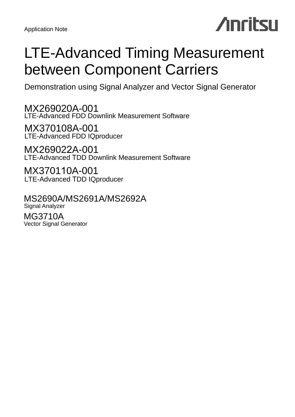Application Note

# **Anritsu**

## LTE-Advanced Timing Measurement between Component Carriers

Demonstration using Signal Analyzer and Vector Signal Generator

MX269020A-001 LTE-Advanced FDD Downlink Measurement Software

MX370108A-001 LTE-Advanced FDD IQproducer

MX269022A-001 LTE-Advanced TDD Downlink Measurement Software

MX370110A-001 LTE-Advanced TDD IQproducer

MS2690A/MS2691A/MS2692A Signal Analyzer

MG3710A Vector Signal Generator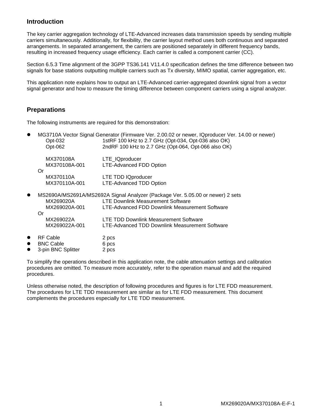## **Introduction**

The key carrier aggregation technology of LTE-Advanced increases data transmission speeds by sending multiple carriers simultaneously. Additionally, for flexibility, the carrier layout method uses both continuous and separated arrangements. In separated arrangement, the carriers are positioned separately in different frequency bands, resulting in increased frequency usage efficiency. Each carrier is called a component carrier (CC).

Section 6.5.3 Time alignment of the 3GPP TS36.141 V11.4.0 specification defines the time difference between two signals for base stations outputting multiple carriers such as Tx diversity, MIMO spatial, carrier aggregation, etc.

This application note explains how to output an LTE-Advanced carrier-aggregated downlink signal from a vector signal generator and how to measure the timing difference between component carriers using a signal analyzer.

## **Preparations**

The following instruments are required for this demonstration:

|               | MG3710A Vector Signal Generator (Firmware Ver. 2.00.02 or newer, IQproducer Ver. 14.00 or newer)                               |
|---------------|--------------------------------------------------------------------------------------------------------------------------------|
|               | 1stRF 100 kHz to 2.7 GHz (Opt-034, Opt-036 also OK)                                                                            |
|               | 2ndRF 100 kHz to 2.7 GHz (Opt-064, Opt-066 also OK)                                                                            |
| MX370108A     | LTE_IQproducer                                                                                                                 |
| MX370108A-001 | <b>LTE-Advanced FDD Option</b>                                                                                                 |
| Or            |                                                                                                                                |
| MX370110A     | <b>LTE TDD IQproducer</b>                                                                                                      |
|               | <b>LTE-Advanced TDD Option</b>                                                                                                 |
|               |                                                                                                                                |
|               | MS2690A/MS2691A/MS2692A Signal Analyzer (Package Ver. 5.05.00 or newer) 2 sets                                                 |
| MX269020A     | <b>LTE Downlink Measurement Software</b>                                                                                       |
| MX269020A-001 | LTE-Advanced FDD Downlink Measurement Software                                                                                 |
| Or            |                                                                                                                                |
|               | LTE TDD Downlink Measurement Software                                                                                          |
|               | LTE-Advanced TDD Downlink Measurement Software                                                                                 |
|               |                                                                                                                                |
|               | 2 pcs                                                                                                                          |
|               | 6 pcs                                                                                                                          |
|               | 2 pcs                                                                                                                          |
|               | Opt-032<br>Opt-062<br>MX370110A-001<br>MX269022A<br>MX269022A-001<br><b>RF Cable</b><br><b>BNC Cable</b><br>3-pin BNC Splitter |

To simplify the operations described in this application note, the cable attenuation settings and calibration procedures are omitted. To measure more accurately, refer to the operation manual and add the required procedures.

Unless otherwise noted, the description of following procedures and figures is for LTE FDD measurement. The procedures for LTE TDD measurement are similar as for LTE FDD measurement. This document complements the procedures especially for LTE TDD measurement.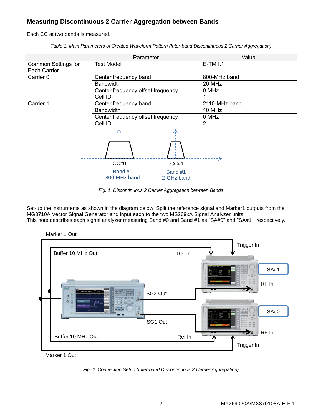## **Measuring Discontinuous 2 Carrier Aggregation between Bands**

Each CC at two bands is measured.

*Table 1. Main Parameters of Created Waveform Pattern (Inter-band Discontinuous 2 Carrier Aggregation)*

|                            | Parameter                         | Value         |  |  |  |  |
|----------------------------|-----------------------------------|---------------|--|--|--|--|
| <b>Common Settings for</b> | <b>Test Model</b>                 | $E-TM1.1$     |  |  |  |  |
| Each Carrier               |                                   |               |  |  |  |  |
| Carrier 0                  | Center frequency band             | 800-MHz band  |  |  |  |  |
|                            | <b>Bandwidth</b>                  | 20 MHz        |  |  |  |  |
|                            | Center frequency offset frequency | 0 MHz         |  |  |  |  |
|                            | Cell ID                           |               |  |  |  |  |
| Carrier 1                  | Center frequency band             | 2110-MHz band |  |  |  |  |
|                            | <b>Bandwidth</b>                  | 10 MHz        |  |  |  |  |
|                            | Center frequency offset frequency | 0 MHz         |  |  |  |  |
|                            | Cell ID                           | 2             |  |  |  |  |
|                            |                                   |               |  |  |  |  |



*Fig. 1. Discontinuous 2 Carrier Aggregation between Bands*

Set-up the instruments as shown in the diagram below. Split the reference signal and Marker1 outputs from the MG3710A Vector Signal Generator and input each to the two MS269xA Signal Analyzer units. This note describes each signal analyzer measuring Band #0 and Band #1 as "SA#0" and "SA#1", respectively.



Marker 1 Out

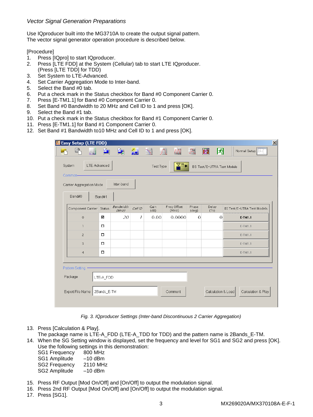### *Vector Signal Generation Preparations*

Use IQproducer built into the MG3710A to create the output signal pattern. The vector signal generator operation procedure is described below.

#### [Procedure]

- 1. Press [IQpro] to start IQproducer.
- 2. Press [LTE FDD] at the System (Cellular) tab to start LTE IQproducer. (Press [LTE TDD] for TDD)
- 3. Set System to LTE-Advanced.
- 4. Set Carrier Aggregation Mode to Inter-band.
- 5. Select the Band #0 tab.
- 6. Put a check mark in the Status checkbox for Band #0 Component Carrier 0.
- 7. Press [E-TM1.1] for Band #0 Component Carrier 0.
- 8. Set Band #0 Bandwidth to 20 MHz and Cell ID to 1 and press [OK].
- 9. Select the Band #1 tab.
- 10. Put a check mark in the Status checkbox for Band #1 Component Carrier 0.
- 11. Press [E-TM1.1] for Band #1 Component Carrier 0.
- 12. Set Band #1 Bandwidth to10 MHz and Cell ID to 1 and press [OK].

| 鹽 Easy Setup (LTE FDD)                                                                                            |                          |                    |         |              |                      |                |                    |                            |
|-------------------------------------------------------------------------------------------------------------------|--------------------------|--------------------|---------|--------------|----------------------|----------------|--------------------|----------------------------|
| W                                                                                                                 | $\Delta$                 | $\frac{M}{L}$      | 紀       | $\sqrt{\ }$  | $\sqrt{N}$           | R              | 圖<br>囨             | Normal Setup               |
| $\underline{\Psi}^{\underline{\mathsf{DL}}}$<br>LTE-Advanced<br>System<br>Test Type<br>BS Test/E-UTRA Test Models |                          |                    |         |              |                      |                |                    |                            |
| Common-<br>Inter-band<br>Carrier Aggregation Mode                                                                 |                          |                    |         |              |                      |                |                    |                            |
| Band#0                                                                                                            | Band#1                   |                    |         |              |                      |                |                    |                            |
| Component Carrier Status                                                                                          |                          | Bandwidth<br>(MHz) | Cell ID | Gain<br>(dB) | Freq Offset<br>(MHz) | Phase<br>(deq) | Delay<br>(T5)      | BS Test/E-UTRA Test Models |
| $\circ$                                                                                                           | ☑                        | 20                 | 1       | 0.00         | 0.0000               | $\Omega$       | $\Omega$           | E-TM1.1                    |
| $\overline{1}$                                                                                                    | 0                        |                    |         |              |                      |                |                    | E-TM1.1                    |
| $\overline{2}$                                                                                                    | $\Box$                   |                    |         |              |                      |                |                    | E-TM1.1                    |
| $\overline{3}$                                                                                                    | о                        |                    |         |              |                      |                |                    | E-TM1.1                    |
| $\overline{4}$                                                                                                    | $\Box$                   |                    |         |              |                      |                |                    | E-TM1.1                    |
| Pattern Setting -<br>Package<br>Export File Name                                                                  | LTE-A FDD<br>2Bands_E-TM |                    |         |              | Comment              |                | Calculation & Load | Calculation & Play         |

*Fig. 3. IQproducer Settings (Inter-band Discontinuous 2 Carrier Aggregation)*

- 13. Press [Calculation & Play].
- The package name is LTE-A\_FDD (LTE-A\_TDD for TDD) and the pattern name is 2Bands\_E-TM. 14. When the SG Setting window is displayed, set the frequency and level for SG1 and SG2 and press [OK]. Use the following settings in this demonstration:

| oso tho rollowing sottings in th |           |
|----------------------------------|-----------|
| SG1 Frequency                    | 800 MHz   |
| SG1 Amplitude                    | $-10$ dBm |
| <b>SG2 Frequency</b>             | 2110 MHz  |
| SG2 Amplitude                    | $-10$ dBm |

- 15. Press RF Output [Mod On/Off] and [On/Off] to output the modulation signal.
- 16. Press 2nd RF Output [Mod On/Off] and [On/Off] to output the modulation signal.
- 17. Press [SG1].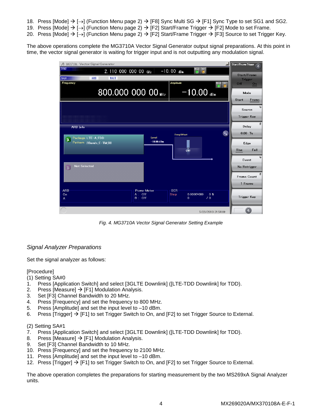- 18. Press [Mode]  $\rightarrow$  [ $\rightarrow$ ] (Function Menu page 2)  $\rightarrow$  [F8] Sync Multi SG  $\rightarrow$  [F1] Sync Type to set SG1 and SG2.
- 19. Press [Mode]  $\rightarrow$  [ $\rightarrow$ ] (Function Menu page 2)  $\rightarrow$  [F2] Start/Frame Trigger  $\rightarrow$  [F2] Mode to set Frame.
- 20. Press [Mode]  $\rightarrow$  [ $\rightarrow$ ] (Function Menu page 2)  $\rightarrow$  [F2] Start/Frame Trigger  $\rightarrow$  [F3] Source to set Trigger Key.

The above operations complete the MG3710A Vector Signal Generator output signal preparations. At this point in time, the vector signal generator is waiting for trigger input and is not outputting any modulation signal.



*Fig. 4. MG3710A Vector Signal Generator Setting Example*

## *Signal Analyzer Preparations*

Set the signal analyzer as follows:

#### [Procedure]

(1) Setting SA#0

- 1. Press [Application Switch] and select [3GLTE Downlink] ([LTE-TDD Downlink] for TDD).
- 2. Press [Measure]  $\rightarrow$  [F1] Modulation Analysis.
- 3. Set [F3] Channel Bandwidth to 20 MHz.
- 4. Press [Frequency] and set the frequency to 800 MHz.
- 5. Press [Amplitude] and set the input level to –10 dBm.
- 6. Press [Trigger]  $\rightarrow$  [F1] to set Trigger Switch to On, and [F2] to set Trigger Source to External.

#### (2) Setting SA#1

- 7. Press [Application Switch] and select [3GLTE Downlink] ([LTE-TDD Downlink] for TDD).
- 8. Press [Measure]  $\rightarrow$  [F1] Modulation Analysis.
- 9. Set [F3] Channel Bandwidth to 10 MHz.
- 10. Press [Frequency] and set the frequency to 2100 MHz.
- 11. Press [Amplitude] and set the input level to –10 dBm.
- 12. Press [Trigger]  $\rightarrow$  [F1] to set Trigger Switch to On, and [F2] to set Trigger Source to External.

The above operation completes the preparations for starting measurement by the two MS269xA Signal Analyzer units.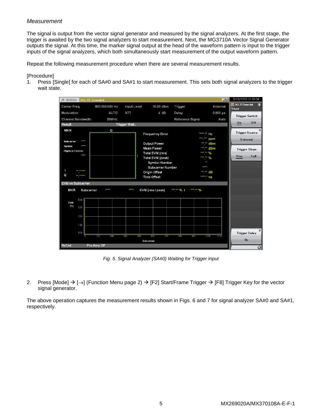### *Measurement*

The signal is output from the vector signal generator and measured by the signal analyzers. At the first stage, the trigger is awaited by the two signal analyzers to start measurement. Next, the MG3710A Vector Signal Generator outputs the signal. At this time, the marker signal output at the head of the waveform pattern is input to the trigger inputs of the signal analyzers, which both simultaneously start measurement of the output waveform pattern.

Repeat the following measurement procedure when there are several measurement results.

#### [Procedure]

1. Press [Single] for each of SA#0 and SA#1 to start measurement. This sets both signal analyzers to the trigger wait state.



*Fig. 5. Signal Analyzer (SA#0) Waiting for Trigger Input*

2. Press [Mode]  $\rightarrow$  [ $\rightarrow$ ] (Function Menu page 2)  $\rightarrow$  [F2] Start/Frame Trigger  $\rightarrow$  [F8] Trigger Key for the vector signal generator.

The above operation captures the measurement results shown in Figs. 6 and 7 for signal analyzer SA#0 and SA#1, respectively.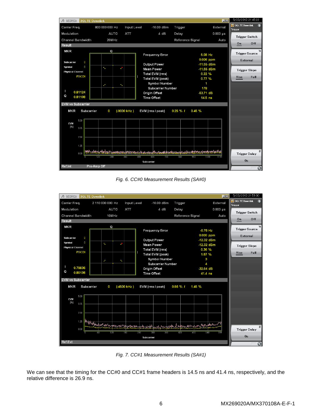

*Fig. 6. CC#0 Measurement Results (SA#0)*



*Fig. 7. CC#1 Measurement Results (SA#1)*

We can see that the timing for the CC#0 and CC#1 frame headers is 14.5 ns and 41.4 ns, respectively, and the relative difference is 26.9 ns.